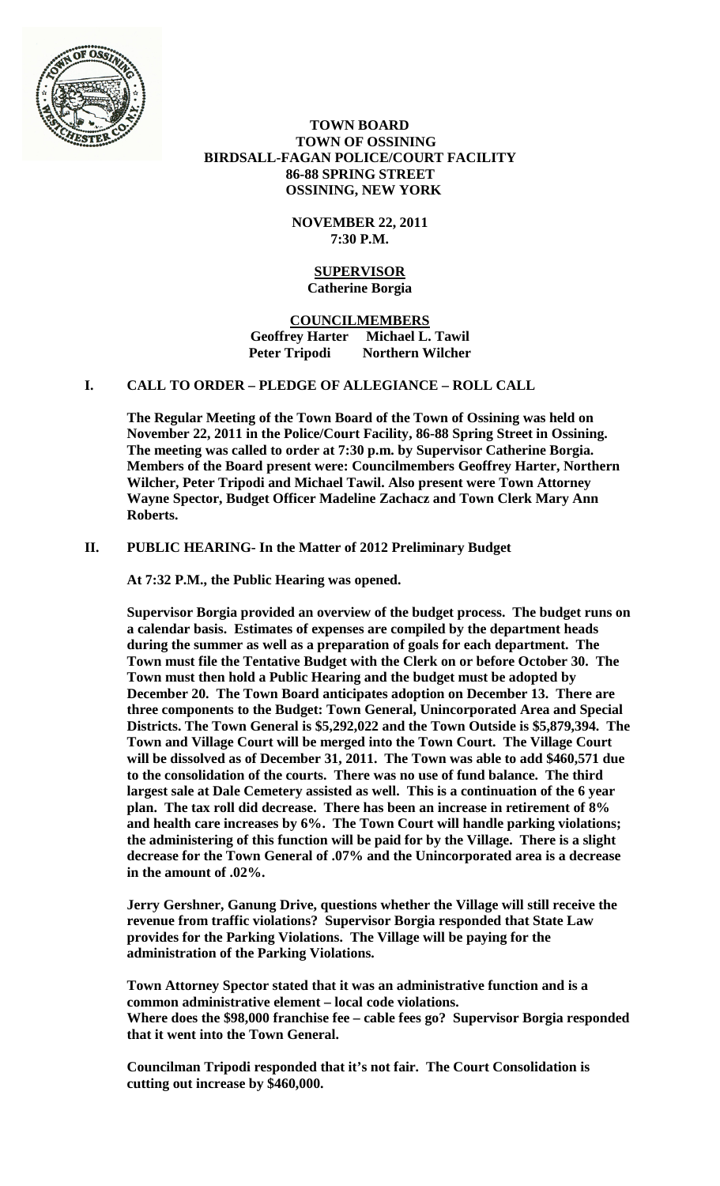

 **TOWN BOARD TOWN OF OSSINING BIRDSALL-FAGAN POLICE/COURT FACILITY 86-88 SPRING STREET OSSINING, NEW YORK**

> **NOVEMBER 22, 2011 7:30 P.M.**

### **SUPERVISOR Catherine Borgia**

**COUNCILMEMBERS Geoffrey Harter Michael L. Tawil Peter Tripodi Northern Wilcher**

# **I. CALL TO ORDER – PLEDGE OF ALLEGIANCE – ROLL CALL**

**The Regular Meeting of the Town Board of the Town of Ossining was held on November 22, 2011 in the Police/Court Facility, 86-88 Spring Street in Ossining. The meeting was called to order at 7:30 p.m. by Supervisor Catherine Borgia. Members of the Board present were: Councilmembers Geoffrey Harter, Northern Wilcher, Peter Tripodi and Michael Tawil. Also present were Town Attorney Wayne Spector, Budget Officer Madeline Zachacz and Town Clerk Mary Ann Roberts.**

# **II. PUBLIC HEARING- In the Matter of 2012 Preliminary Budget**

**At 7:32 P.M., the Public Hearing was opened.**

**Supervisor Borgia provided an overview of the budget process. The budget runs on a calendar basis. Estimates of expenses are compiled by the department heads during the summer as well as a preparation of goals for each department. The Town must file the Tentative Budget with the Clerk on or before October 30. The Town must then hold a Public Hearing and the budget must be adopted by December 20. The Town Board anticipates adoption on December 13. There are three components to the Budget: Town General, Unincorporated Area and Special Districts. The Town General is \$5,292,022 and the Town Outside is \$5,879,394. The Town and Village Court will be merged into the Town Court. The Village Court will be dissolved as of December 31, 2011. The Town was able to add \$460,571 due to the consolidation of the courts. There was no use of fund balance. The third largest sale at Dale Cemetery assisted as well. This is a continuation of the 6 year plan. The tax roll did decrease. There has been an increase in retirement of 8% and health care increases by 6%. The Town Court will handle parking violations; the administering of this function will be paid for by the Village. There is a slight decrease for the Town General of .07% and the Unincorporated area is a decrease in the amount of .02%.** 

**Jerry Gershner, Ganung Drive, questions whether the Village will still receive the revenue from traffic violations? Supervisor Borgia responded that State Law provides for the Parking Violations. The Village will be paying for the administration of the Parking Violations.** 

**Town Attorney Spector stated that it was an administrative function and is a common administrative element – local code violations. Where does the \$98,000 franchise fee – cable fees go? Supervisor Borgia responded that it went into the Town General.** 

**Councilman Tripodi responded that it's not fair. The Court Consolidation is cutting out increase by \$460,000.**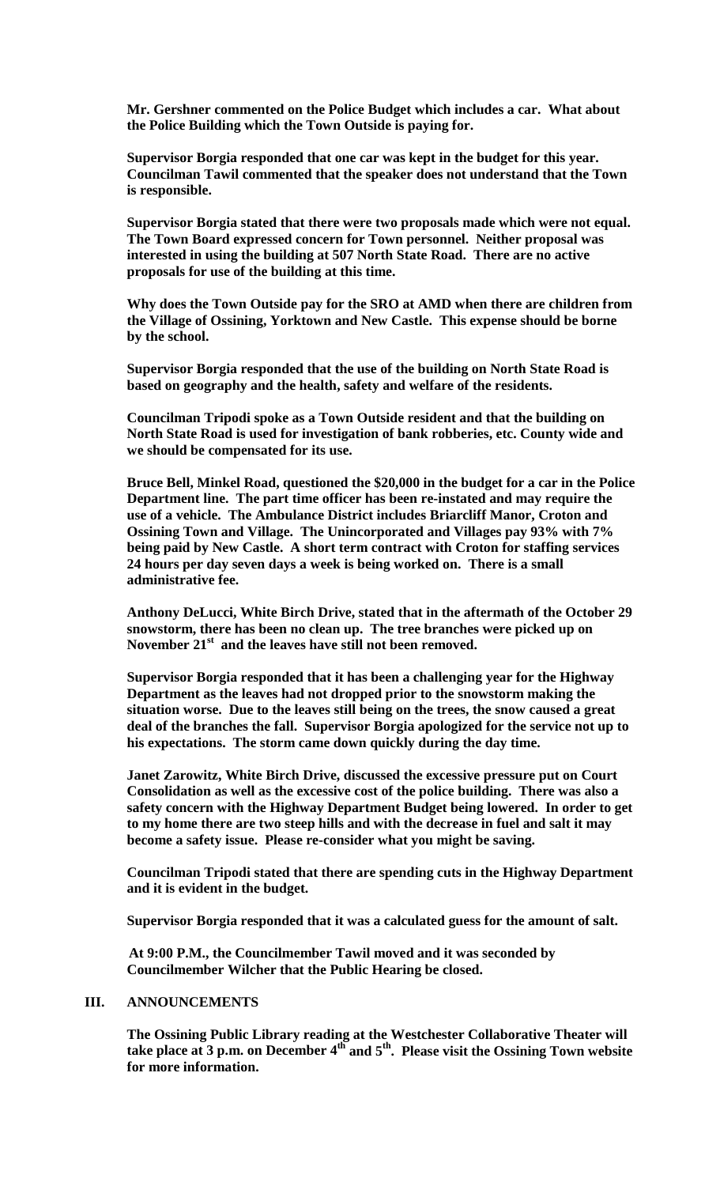**Mr. Gershner commented on the Police Budget which includes a car. What about the Police Building which the Town Outside is paying for.** 

**Supervisor Borgia responded that one car was kept in the budget for this year. Councilman Tawil commented that the speaker does not understand that the Town is responsible.**

**Supervisor Borgia stated that there were two proposals made which were not equal. The Town Board expressed concern for Town personnel. Neither proposal was interested in using the building at 507 North State Road. There are no active proposals for use of the building at this time.**

**Why does the Town Outside pay for the SRO at AMD when there are children from the Village of Ossining, Yorktown and New Castle. This expense should be borne by the school.** 

**Supervisor Borgia responded that the use of the building on North State Road is based on geography and the health, safety and welfare of the residents.**

**Councilman Tripodi spoke as a Town Outside resident and that the building on North State Road is used for investigation of bank robberies, etc. County wide and we should be compensated for its use.**

**Bruce Bell, Minkel Road, questioned the \$20,000 in the budget for a car in the Police Department line. The part time officer has been re-instated and may require the use of a vehicle. The Ambulance District includes Briarcliff Manor, Croton and Ossining Town and Village. The Unincorporated and Villages pay 93% with 7% being paid by New Castle. A short term contract with Croton for staffing services 24 hours per day seven days a week is being worked on. There is a small administrative fee.**

**Anthony DeLucci, White Birch Drive, stated that in the aftermath of the October 29 snowstorm, there has been no clean up. The tree branches were picked up on**  November 21<sup>st</sup> and the leaves have still not been removed.

**Supervisor Borgia responded that it has been a challenging year for the Highway Department as the leaves had not dropped prior to the snowstorm making the situation worse. Due to the leaves still being on the trees, the snow caused a great deal of the branches the fall. Supervisor Borgia apologized for the service not up to his expectations. The storm came down quickly during the day time.**

**Janet Zarowitz, White Birch Drive, discussed the excessive pressure put on Court Consolidation as well as the excessive cost of the police building. There was also a safety concern with the Highway Department Budget being lowered. In order to get to my home there are two steep hills and with the decrease in fuel and salt it may become a safety issue. Please re-consider what you might be saving.**

**Councilman Tripodi stated that there are spending cuts in the Highway Department and it is evident in the budget.**

**Supervisor Borgia responded that it was a calculated guess for the amount of salt.**

**At 9:00 P.M., the Councilmember Tawil moved and it was seconded by Councilmember Wilcher that the Public Hearing be closed.**

## **III. ANNOUNCEMENTS**

**The Ossining Public Library reading at the Westchester Collaborative Theater will take place at 3 p.m. on December 4th and 5th. Please visit the Ossining Town website for more information.**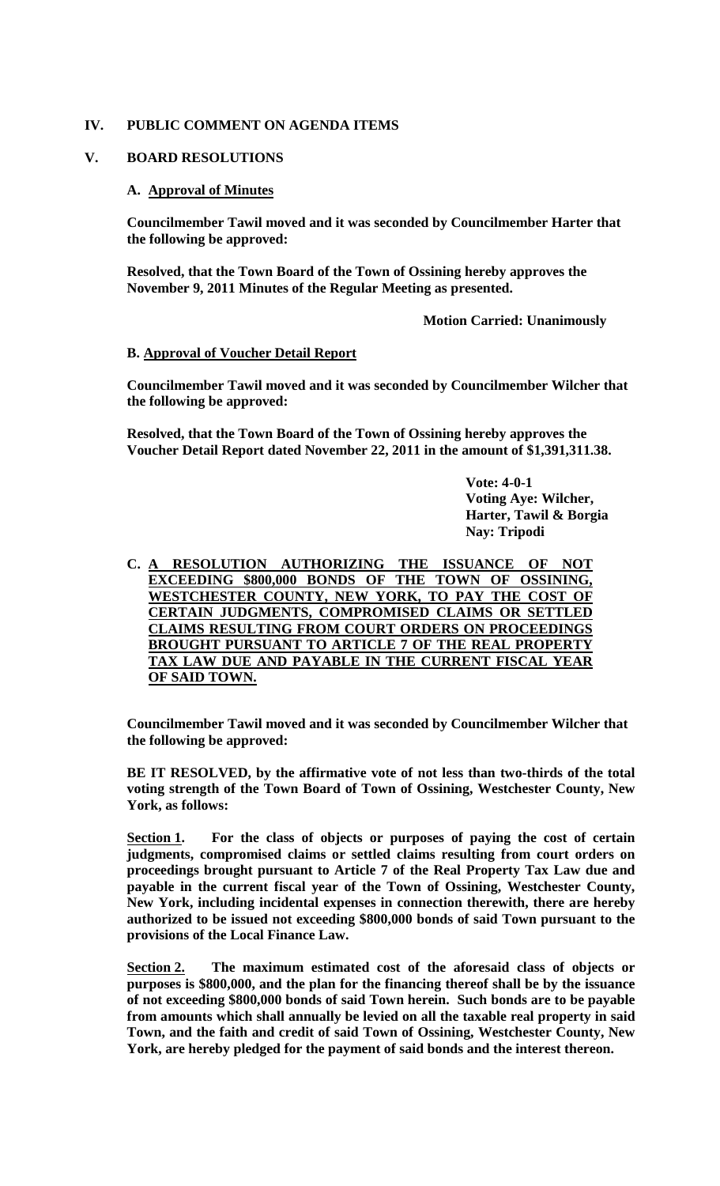## **IV. PUBLIC COMMENT ON AGENDA ITEMS**

## **V. BOARD RESOLUTIONS**

## **A. Approval of Minutes**

**Councilmember Tawil moved and it was seconded by Councilmember Harter that the following be approved:**

**Resolved, that the Town Board of the Town of Ossining hereby approves the November 9, 2011 Minutes of the Regular Meeting as presented.**

**Motion Carried: Unanimously**

## **B. Approval of Voucher Detail Report**

**Councilmember Tawil moved and it was seconded by Councilmember Wilcher that the following be approved:**

**Resolved, that the Town Board of the Town of Ossining hereby approves the Voucher Detail Report dated November 22, 2011 in the amount of \$1,391,311.38.**

> **Vote: 4-0-1 Voting Aye: Wilcher, Harter, Tawil & Borgia Nay: Tripodi**

**C. A RESOLUTION AUTHORIZING THE ISSUANCE OF NOT EXCEEDING \$800,000 BONDS OF THE TOWN OF OSSINING, WESTCHESTER COUNTY, NEW YORK, TO PAY THE COST OF CERTAIN JUDGMENTS, COMPROMISED CLAIMS OR SETTLED CLAIMS RESULTING FROM COURT ORDERS ON PROCEEDINGS BROUGHT PURSUANT TO ARTICLE 7 OF THE REAL PROPERTY TAX LAW DUE AND PAYABLE IN THE CURRENT FISCAL YEAR OF SAID TOWN.**

**Councilmember Tawil moved and it was seconded by Councilmember Wilcher that the following be approved:**

**BE IT RESOLVED, by the affirmative vote of not less than two-thirds of the total voting strength of the Town Board of Town of Ossining, Westchester County, New York, as follows:**

**Section 1. For the class of objects or purposes of paying the cost of certain judgments, compromised claims or settled claims resulting from court orders on proceedings brought pursuant to Article 7 of the Real Property Tax Law due and payable in the current fiscal year of the Town of Ossining, Westchester County, New York, including incidental expenses in connection therewith, there are hereby authorized to be issued not exceeding \$800,000 bonds of said Town pursuant to the provisions of the Local Finance Law.** 

**Section 2. The maximum estimated cost of the aforesaid class of objects or purposes is \$800,000, and the plan for the financing thereof shall be by the issuance of not exceeding \$800,000 bonds of said Town herein. Such bonds are to be payable from amounts which shall annually be levied on all the taxable real property in said Town, and the faith and credit of said Town of Ossining, Westchester County, New York, are hereby pledged for the payment of said bonds and the interest thereon.**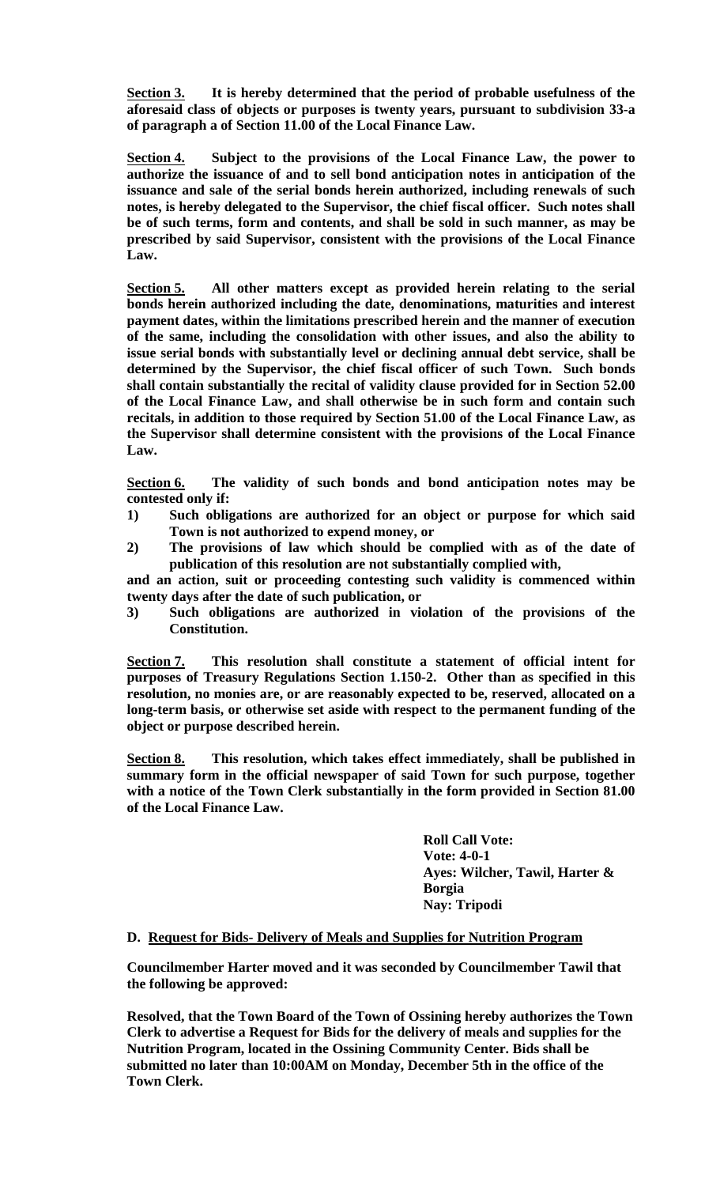**Section 3. It is hereby determined that the period of probable usefulness of the aforesaid class of objects or purposes is twenty years, pursuant to subdivision 33-a of paragraph a of Section 11.00 of the Local Finance Law.**

**Section 4. Subject to the provisions of the Local Finance Law, the power to authorize the issuance of and to sell bond anticipation notes in anticipation of the issuance and sale of the serial bonds herein authorized, including renewals of such notes, is hereby delegated to the Supervisor, the chief fiscal officer. Such notes shall be of such terms, form and contents, and shall be sold in such manner, as may be prescribed by said Supervisor, consistent with the provisions of the Local Finance Law.**

**Section 5. All other matters except as provided herein relating to the serial bonds herein authorized including the date, denominations, maturities and interest payment dates, within the limitations prescribed herein and the manner of execution of the same, including the consolidation with other issues, and also the ability to issue serial bonds with substantially level or declining annual debt service, shall be determined by the Supervisor, the chief fiscal officer of such Town. Such bonds shall contain substantially the recital of validity clause provided for in Section 52.00 of the Local Finance Law, and shall otherwise be in such form and contain such recitals, in addition to those required by Section 51.00 of the Local Finance Law, as the Supervisor shall determine consistent with the provisions of the Local Finance Law.**

**Section 6. The validity of such bonds and bond anticipation notes may be contested only if:**

- **1) Such obligations are authorized for an object or purpose for which said Town is not authorized to expend money, or**
- **2) The provisions of law which should be complied with as of the date of publication of this resolution are not substantially complied with,**

**and an action, suit or proceeding contesting such validity is commenced within twenty days after the date of such publication, or**

**3) Such obligations are authorized in violation of the provisions of the Constitution.**

**Section 7. This resolution shall constitute a statement of official intent for purposes of Treasury Regulations Section 1.150-2. Other than as specified in this resolution, no monies are, or are reasonably expected to be, reserved, allocated on a long-term basis, or otherwise set aside with respect to the permanent funding of the object or purpose described herein.**

**Section 8. This resolution, which takes effect immediately, shall be published in summary form in the official newspaper of said Town for such purpose, together with a notice of the Town Clerk substantially in the form provided in Section 81.00 of the Local Finance Law.**

> **Roll Call Vote: Vote: 4-0-1 Ayes: Wilcher, Tawil, Harter & Borgia Nay: Tripodi**

### **D. Request for Bids- Delivery of Meals and Supplies for Nutrition Program**

**Councilmember Harter moved and it was seconded by Councilmember Tawil that the following be approved:**

**Resolved, that the Town Board of the Town of Ossining hereby authorizes the Town Clerk to advertise a Request for Bids for the delivery of meals and supplies for the Nutrition Program, located in the Ossining Community Center. Bids shall be submitted no later than 10:00AM on Monday, December 5th in the office of the Town Clerk.**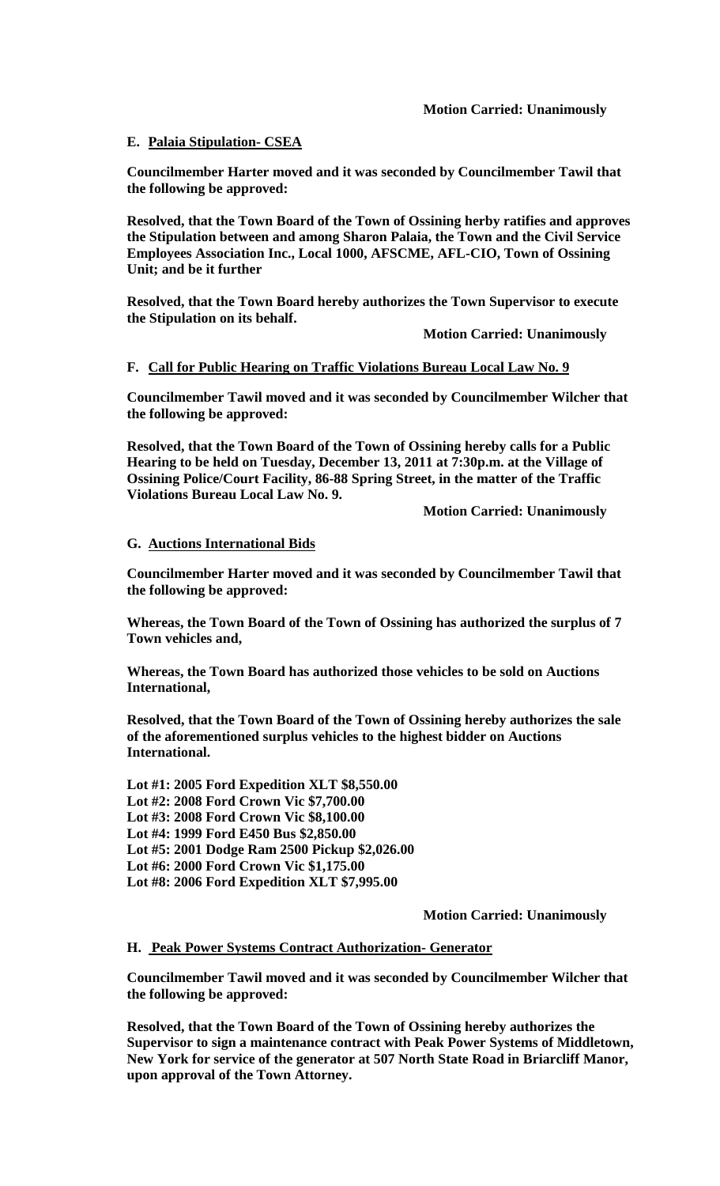## **E. Palaia Stipulation- CSEA**

**Councilmember Harter moved and it was seconded by Councilmember Tawil that the following be approved:**

**Resolved, that the Town Board of the Town of Ossining herby ratifies and approves the Stipulation between and among Sharon Palaia, the Town and the Civil Service Employees Association Inc., Local 1000, AFSCME, AFL-CIO, Town of Ossining Unit; and be it further**

**Resolved, that the Town Board hereby authorizes the Town Supervisor to execute the Stipulation on its behalf.**

**Motion Carried: Unanimously**

## **F. Call for Public Hearing on Traffic Violations Bureau Local Law No. 9**

**Councilmember Tawil moved and it was seconded by Councilmember Wilcher that the following be approved:**

**Resolved, that the Town Board of the Town of Ossining hereby calls for a Public Hearing to be held on Tuesday, December 13, 2011 at 7:30p.m. at the Village of Ossining Police/Court Facility, 86-88 Spring Street, in the matter of the Traffic Violations Bureau Local Law No. 9.**

**Motion Carried: Unanimously**

### **G. Auctions International Bids**

**Councilmember Harter moved and it was seconded by Councilmember Tawil that the following be approved:**

**Whereas, the Town Board of the Town of Ossining has authorized the surplus of 7 Town vehicles and,**

**Whereas, the Town Board has authorized those vehicles to be sold on Auctions International,**

**Resolved, that the Town Board of the Town of Ossining hereby authorizes the sale of the aforementioned surplus vehicles to the highest bidder on Auctions International.**

**Lot #1: 2005 Ford Expedition XLT \$8,550.00 Lot #2: 2008 Ford Crown Vic \$7,700.00 Lot #3: 2008 Ford Crown Vic \$8,100.00 Lot #4: 1999 Ford E450 Bus \$2,850.00 Lot #5: 2001 Dodge Ram 2500 Pickup \$2,026.00 Lot #6: 2000 Ford Crown Vic \$1,175.00 Lot #8: 2006 Ford Expedition XLT \$7,995.00**

**Motion Carried: Unanimously**

### **H. Peak Power Systems Contract Authorization- Generator**

**Councilmember Tawil moved and it was seconded by Councilmember Wilcher that the following be approved:**

**Resolved, that the Town Board of the Town of Ossining hereby authorizes the Supervisor to sign a maintenance contract with Peak Power Systems of Middletown, New York for service of the generator at 507 North State Road in Briarcliff Manor, upon approval of the Town Attorney.**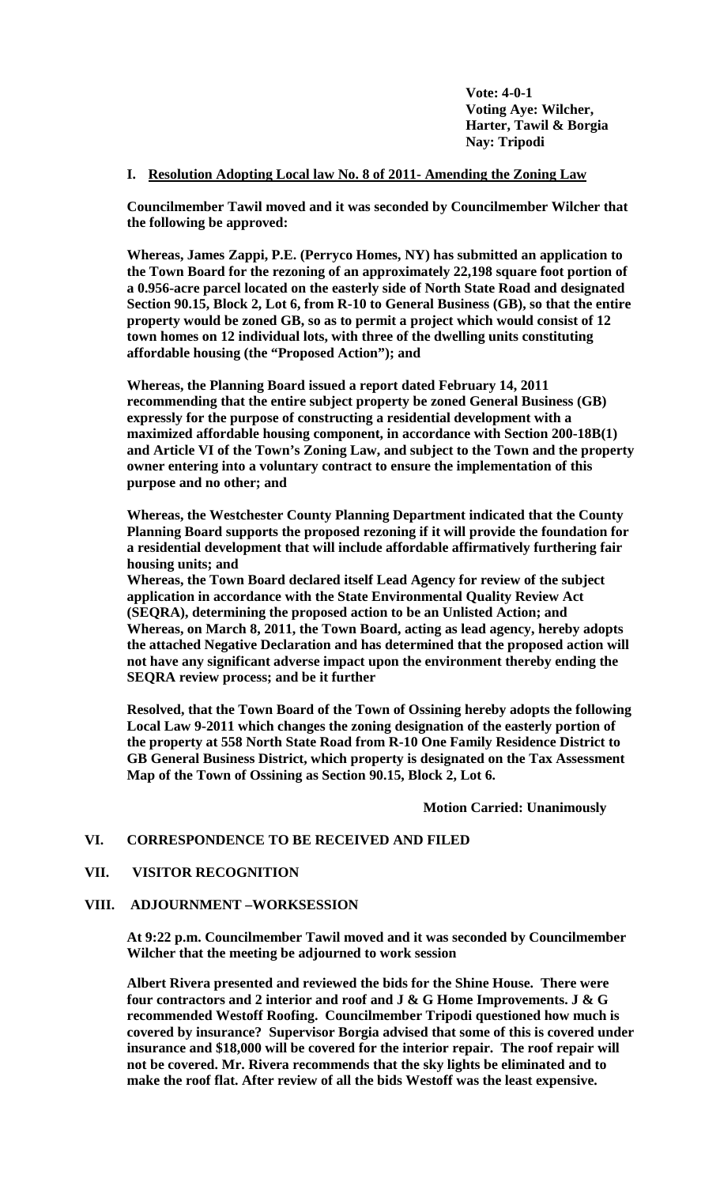**Vote: 4-0-1 Voting Aye: Wilcher, Harter, Tawil & Borgia Nay: Tripodi**

## **I. Resolution Adopting Local law No. 8 of 2011- Amending the Zoning Law**

**Councilmember Tawil moved and it was seconded by Councilmember Wilcher that the following be approved:**

**Whereas, James Zappi, P.E. (Perryco Homes, NY) has submitted an application to the Town Board for the rezoning of an approximately 22,198 square foot portion of a 0.956-acre parcel located on the easterly side of North State Road and designated Section 90.15, Block 2, Lot 6, from R-10 to General Business (GB), so that the entire property would be zoned GB, so as to permit a project which would consist of 12 town homes on 12 individual lots, with three of the dwelling units constituting affordable housing (the "Proposed Action"); and**

**Whereas, the Planning Board issued a report dated February 14, 2011 recommending that the entire subject property be zoned General Business (GB) expressly for the purpose of constructing a residential development with a maximized affordable housing component, in accordance with Section 200-18B(1) and Article VI of the Town's Zoning Law, and subject to the Town and the property owner entering into a voluntary contract to ensure the implementation of this purpose and no other; and**

**Whereas, the Westchester County Planning Department indicated that the County Planning Board supports the proposed rezoning if it will provide the foundation for a residential development that will include affordable affirmatively furthering fair housing units; and**

**Whereas, the Town Board declared itself Lead Agency for review of the subject application in accordance with the State Environmental Quality Review Act (SEQRA), determining the proposed action to be an Unlisted Action; and Whereas, on March 8, 2011, the Town Board, acting as lead agency, hereby adopts the attached Negative Declaration and has determined that the proposed action will not have any significant adverse impact upon the environment thereby ending the SEQRA review process; and be it further**

**Resolved, that the Town Board of the Town of Ossining hereby adopts the following Local Law 9-2011 which changes the zoning designation of the easterly portion of the property at 558 North State Road from R-10 One Family Residence District to GB General Business District, which property is designated on the Tax Assessment Map of the Town of Ossining as Section 90.15, Block 2, Lot 6.**

**Motion Carried: Unanimously**

### **VI. CORRESPONDENCE TO BE RECEIVED AND FILED**

### **VII. VISITOR RECOGNITION**

### **VIII. ADJOURNMENT –WORKSESSION**

**At 9:22 p.m. Councilmember Tawil moved and it was seconded by Councilmember Wilcher that the meeting be adjourned to work session**

**Albert Rivera presented and reviewed the bids for the Shine House. There were four contractors and 2 interior and roof and J & G Home Improvements. J & G recommended Westoff Roofing. Councilmember Tripodi questioned how much is covered by insurance? Supervisor Borgia advised that some of this is covered under insurance and \$18,000 will be covered for the interior repair. The roof repair will not be covered. Mr. Rivera recommends that the sky lights be eliminated and to make the roof flat. After review of all the bids Westoff was the least expensive.**